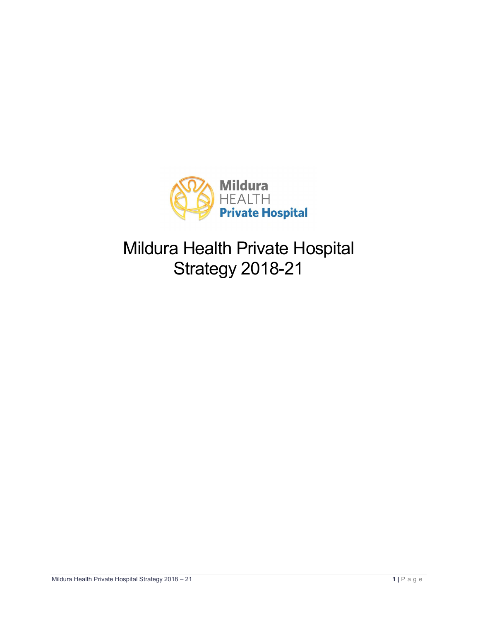

Mildura Health Private Hospital Strategy 2018-21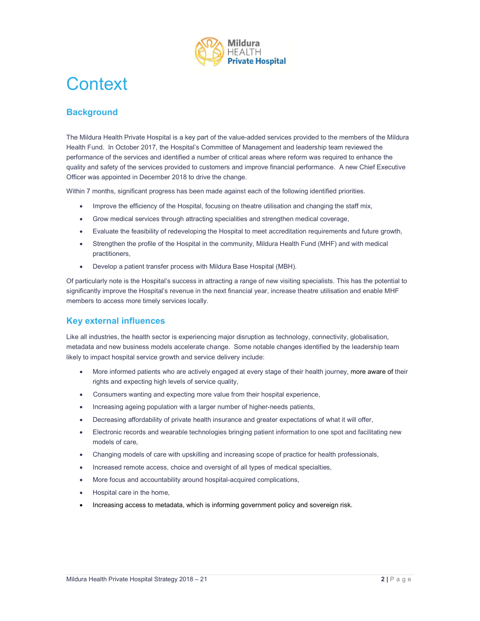

## **Context**

## **Background**

The Mildura Health Private Hospital is a key part of the value-added services provided to the members of the Mildura Health Fund. In October 2017, the Hospital's Committee of Management and leadership team reviewed the performance of the services and identified a number of critical areas where reform was required to enhance the quality and safety of the services provided to customers and improve financial performance. A new Chief Executive Officer was appointed in December 2018 to drive the change.

Within 7 months, significant progress has been made against each of the following identified priorities.

- Improve the efficiency of the Hospital, focusing on theatre utilisation and changing the staff mix,
- Grow medical services through attracting specialities and strengthen medical coverage,
- Evaluate the feasibility of redeveloping the Hospital to meet accreditation requirements and future growth,
- Strengthen the profile of the Hospital in the community, Mildura Health Fund (MHF) and with medical practitioners,
- Develop a patient transfer process with Mildura Base Hospital (MBH).

Of particularly note is the Hospital's success in attracting a range of new visiting specialists. This has the potential to significantly improve the Hospital's revenue in the next financial year, increase theatre utilisation and enable MHF members to access more timely services locally.

## Key external influences

Like all industries, the health sector is experiencing major disruption as technology, connectivity, globalisation, metadata and new business models accelerate change. Some notable changes identified by the leadership team likely to impact hospital service growth and service delivery include:

- More informed patients who are actively engaged at every stage of their health journey, more aware of their rights and expecting high levels of service quality,
- Consumers wanting and expecting more value from their hospital experience,
- Increasing ageing population with a larger number of higher-needs patients,
- Decreasing affordability of private health insurance and greater expectations of what it will offer,
- Milita and expecting high levels of service quality.<br>
mights and expecting high levels of service quality.<br>
 Consumers wanting and expecting more value for miteri hospital experience,<br>
 Increasing adjering population wit Electronic records and wearable technologies bringing patient information to one spot and facilitating new models of care,
	- Changing models of care with upskilling and increasing scope of practice for health professionals,
	- Increased remote access, choice and oversight of all types of medical specialties,
	- More focus and accountability around hospital-acquired complications,
	- Hospital care in the home,
	- Increasing access to metadata, which is informing government policy and sovereign risk.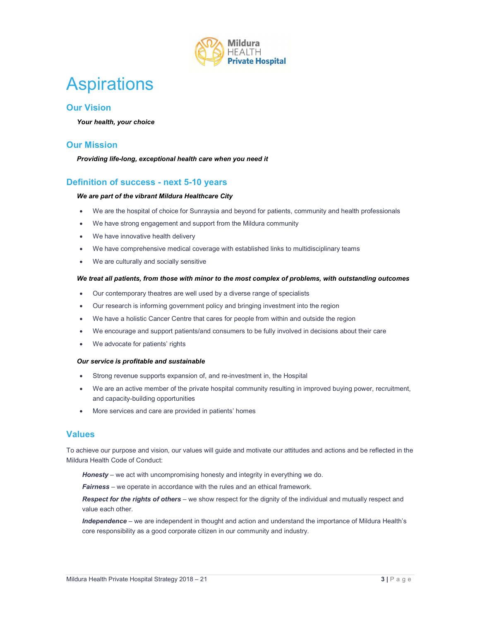

# **Aspirations**

## Our Vision

Your health, your choice

### Our Mission

Providing life-long, exceptional health care when you need it

### Definition of success - next 5-10 years

#### We are part of the vibrant Mildura Healthcare City

- We are the hospital of choice for Sunraysia and beyond for patients, community and health professionals
- We have strong engagement and support from the Mildura community
- We have innovative health delivery
- We have comprehensive medical coverage with established links to multidisciplinary teams
- We are culturally and socially sensitive

#### We treat all patients, from those with minor to the most complex of problems, with outstanding outcomes

- Our contemporary theatres are well used by a diverse range of specialists
- Our research is informing government policy and bringing investment into the region
- We have a holistic Cancer Centre that cares for people from within and outside the region
- We encourage and support patients/and consumers to be fully involved in decisions about their care
- We advocate for patients' rights

#### Our service is profitable and sustainable

- Strong revenue supports expansion of, and re-investment in, the Hospital
- We are an active member of the private hospital community resulting in improved buying power, recruitment, and capacity-building opportunities
- More services and care are provided in patients' homes

#### Values

• Strong revenue supports expansion of, and re-investment in, the Hospital<br>
• We are an active member of the private hospital community resulting in improved buying power, recruitment,<br>
and capacity-building opportuniti To achieve our purpose and vision, our values will guide and motivate our attitudes and actions and be reflected in the Mildura Health Code of Conduct:

Honesty – we act with uncompromising honesty and integrity in everything we do.

**Fairness** – we operate in accordance with the rules and an ethical framework.

Respect for the rights of others – we show respect for the dignity of the individual and mutually respect and value each other.

Independence – we are independent in thought and action and understand the importance of Mildura Health's core responsibility as a good corporate citizen in our community and industry.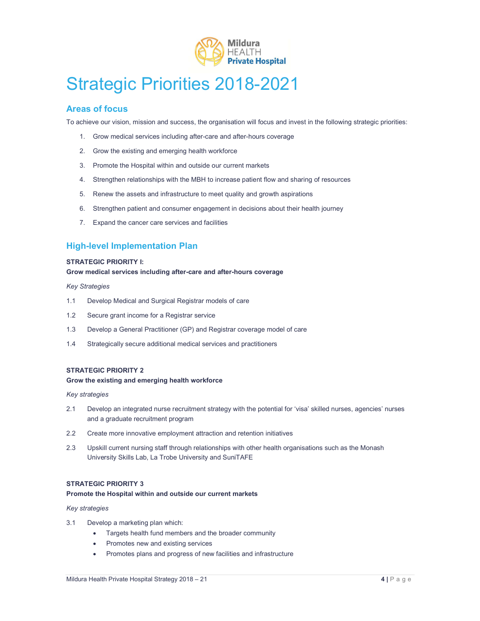

# Strategic Priorities 2018-2021

## Areas of focus

To achieve our vision, mission and success, the organisation will focus and invest in the following strategic priorities:

- 1. Grow medical services including after-care and after-hours coverage
- 2. Grow the existing and emerging health workforce
- 3. Promote the Hospital within and outside our current markets
- 4. Strengthen relationships with the MBH to increase patient flow and sharing of resources
- 5. Renew the assets and infrastructure to meet quality and growth aspirations
- 6. Strengthen patient and consumer engagement in decisions about their health journey
- 7. Expand the cancer care services and facilities

## High-level Implementation Plan

#### STRATEGIC PRIORITY I:

#### Grow medical services including after-care and after-hours coverage

#### Key Strategies

- 1.1 Develop Medical and Surgical Registrar models of care
- 1.2 Secure grant income for a Registrar service
- 1.3 Develop a General Practitioner (GP) and Registrar coverage model of care
- 1.4 Strategically secure additional medical services and practitioners

#### STRATEGIC PRIORITY 2

#### Grow the existing and emerging health workforce

#### Key strategies

- 2.1 Develop an integrated nurse recruitment strategy with the potential for 'visa' skilled nurses, agencies' nurses and a graduate recruitment program
- 2.2 Create more innovative employment attraction and retention initiatives
- Grow the existing and emerging health workforce<br>
Mey strategies<br>
Mey strategies<br>
2.1 Develop an integrated rurse recruitment strategy with the potential for 'visa' skilled nurses, agencies' nurses<br>
and a graduate recruitme 2.3 Upskill current nursing staff through relationships with other health organisations such as the Monash University Skills Lab, La Trobe University and SuniTAFE

#### STRATEGIC PRIORITY 3

#### Promote the Hospital within and outside our current markets

#### Key strategies

- 3.1 Develop a marketing plan which:
	- Targets health fund members and the broader community
	- Promotes new and existing services
	- Promotes plans and progress of new facilities and infrastructure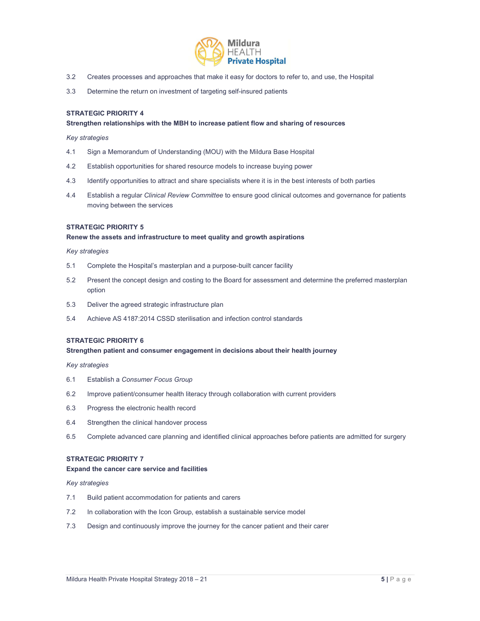

- 3.2 Creates processes and approaches that make it easy for doctors to refer to, and use, the Hospital
- 3.3 Determine the return on investment of targeting self-insured patients

#### STRATEGIC PRIORITY 4

#### Strengthen relationships with the MBH to increase patient flow and sharing of resources

#### Key strategies

- 4.1 Sign a Memorandum of Understanding (MOU) with the Mildura Base Hospital
- 4.2 Establish opportunities for shared resource models to increase buying power
- 4.3 Identify opportunities to attract and share specialists where it is in the best interests of both parties
- 4.4 Establish a regular Clinical Review Committee to ensure good clinical outcomes and governance for patients moving between the services

#### STRATEGIC PRIORITY 5

#### Renew the assets and infrastructure to meet quality and growth aspirations

#### Key strategies

- 5.1 Complete the Hospital's masterplan and a purpose-built cancer facility
- 5.2 Present the concept design and costing to the Board for assessment and determine the preferred masterplan option
- 5.3 Deliver the agreed strategic infrastructure plan
- 5.4 Achieve AS 4187:2014 CSSD sterilisation and infection control standards

#### STRATEGIC PRIORITY 6

#### Strengthen patient and consumer engagement in decisions about their health journey

Key strategies

- 
- 6.1 Establish a Consumer Focus Group<br>6.2 Improve patient/consumer health literacy through collaboration with current providers
- 6.3 Progress the electronic health record
- 6.4 Strengthen the clinical handover process
- 6.1 Establish a *Consumer Focus Group*<br>6.2 Improve patient/consumer health literacy through collaboration with current providers<br>6.3 Progress the electronic health record<br>6.5 Strangthen the clinical analover process<br>6.5 Co 6.5 Complete advanced care planning and identified clinical approaches before patients are admitted for surgery

#### STRATEGIC PRIORITY 7

#### Expand the cancer care service and facilities

#### Key strategies

- 7.1 Build patient accommodation for patients and carers
- 7.2 In collaboration with the Icon Group, establish a sustainable service model
- 7.3 Design and continuously improve the journey for the cancer patient and their carer